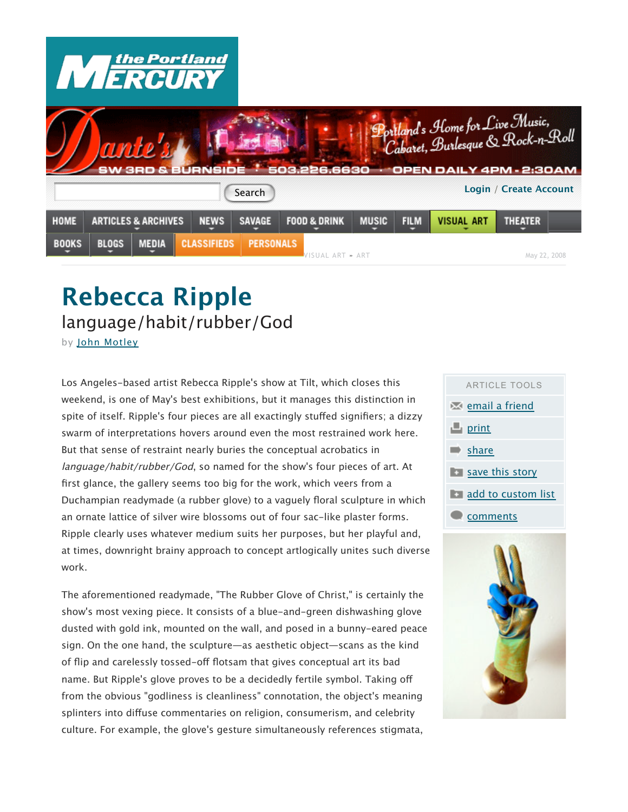

## **Rebecca Ripple**  language/habit/rubber/God

by John Motley

Los Angeles-based artist Rebecca Ripple's show at Tilt, which closes this weekend, is one of May's best exhibitions, but it manages this distinction in spite of itself. Ripple's four pieces are all exactingly stuffed signifiers; a dizzy swarm of interpretations hovers around even the most restrained work here. But that sense of restraint nearly buries the conceptual acrobatics in language/habit/rubber/God, so named for the show's four pieces of art. At first glance, the gallery seems too big for the work, which veers from a Duchampian readymade (a rubber glove) to a vaguely floral sculpture in which an ornate lattice of silver wire blossoms out of four sac-like plaster forms. Ripple clearly uses whatever medium suits her purposes, but her playful and, at times, downright brainy approach to concept artlogically unites such diverse work.

The aforementioned readymade, "The Rubber Glove of Christ," is certainly the show's most vexing piece. It consists of a blue-and-green dishwashing glove dusted with gold ink, mounted on the wall, and posed in a bunny-eared peace sign. On the one hand, the sculpture—as aesthetic object—scans as the kind of flip and carelessly tossed-off flotsam that gives conceptual art its bad name. But Ripple's glove proves to be a decidedly fertile symbol. Taking off from the obvious "godliness is cleanliness" connotation, the object's meaning splinters into diffuse commentaries on religion, consumerism, and celebrity culture. For example, the glove's gesture simultaneously references stigmata,



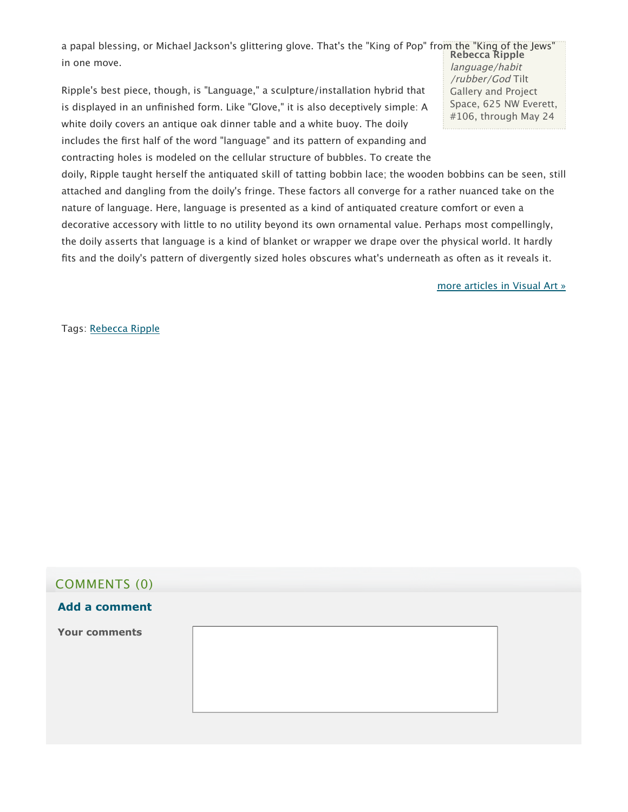**Rebecca Ripple** a papal blessing, or Michael Jackson's glittering glove. That's the "King of Pop" from the "King of the Jews" in one move.

Ripple's best piece, though, is "Language," a sculpture/installation hybrid that is displayed in an unfinished form. Like "Glove," it is also deceptively simple: A white doily covers an antique oak dinner table and a white buoy. The doily includes the first half of the word "language" and its pattern of expanding and contracting holes is modeled on the cellular structure of bubbles. To create the language/habit /rubber/God Tilt Gallery and Project Space, 625 NW Everett, #106, through May 24

doily, Ripple taught herself the antiquated skill of tatting bobbin lace; the wooden bobbins can be seen, still attached and dangling from the doily's fringe. These factors all converge for a rather nuanced take on the nature of language. Here, language is presented as a kind of antiquated creature comfort or even a decorative accessory with little to no utility beyond its own ornamental value. Perhaps most compellingly, the doily asserts that language is a kind of blanket or wrapper we drape over the physical world. It hardly fits and the doily's pattern of divergently sized holes obscures what's underneath as often as it reveals it.

more articles in Visual Art »

Tags: Rebecca Ripple

# COMMENTS (0) **Your comments Add a comment**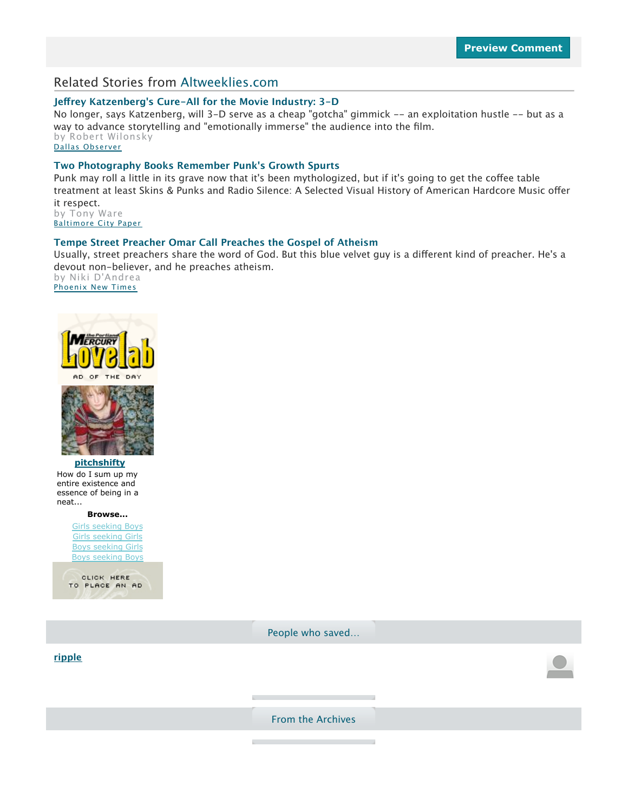#### Related Stories from Altweeklies.com

#### **Je!rey Katzenberg's Cure-All for the Movie Industry: 3-D**

No longer, says Katzenberg, will 3-D serve as a cheap "gotcha" gimmick -- an exploitation hustle -- but as a way to advance storytelling and "emotionally immerse" the audience into the film. by Robert Wilonsky Dallas Observer

#### **Two Photography Books Remember Punk's Growth Spurts**

Punk may roll a little in its grave now that it's been mythologized, but if it's going to get the coffee table treatment at least Skins & Punks and Radio Silence: A Selected Visual History of American Hardcore Music offer it respect. by Tony Ware

Baltimore City Paper

#### **Tempe Street Preacher Omar Call Preaches the Gospel of Atheism**

Usually, street preachers share the word of God. But this blue velvet guy is a different kind of preacher. He's a devout non-believer, and he preaches atheism. by Niki D'Andrea Phoenix New Times





**pitchshifty** How do I sum up my entire existence and essence of being in a neat...

**Browse...**

Girls seeking Boys Girls seeking Girls Boys seeking Girls Boys seeking Boys



**ripple**

People who saved…

From the Archives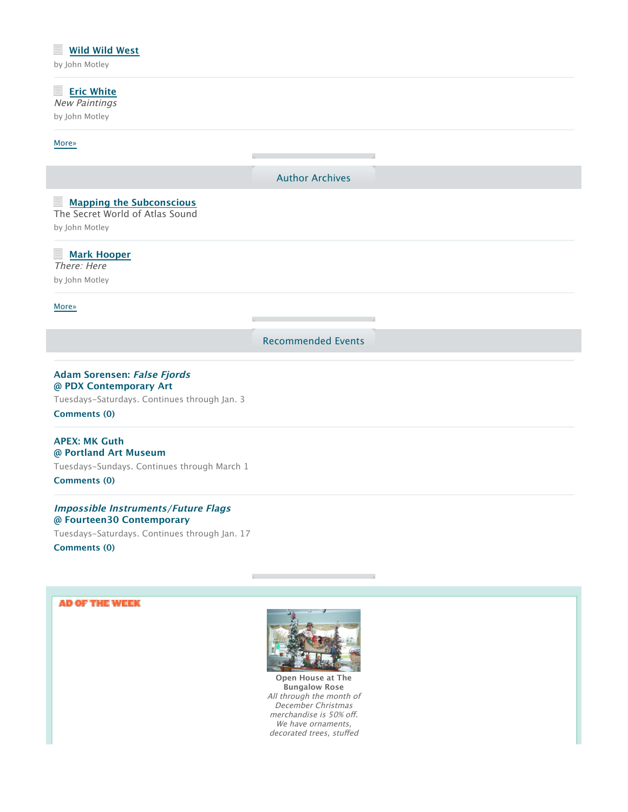### **Wild Wild West** by John Motley **Eric White** New Paintings by John Motley More» Author Archives **Mapping the Subconscious** The Secret World of Atlas Sound by John Motley **Mark Hooper** There: Here by John Motley More» Recommended Events

#### **Adam Sorensen: False Fjords @ PDX Contemporary Art**

Tuesdays-Saturdays. Continues through Jan. 3 **Comments (0)**

#### **APEX: MK Guth @ Portland Art Museum**

Tuesdays-Sundays. Continues through March 1 **Comments (0)**

#### **Impossible Instruments/Future Flags @ Fourteen30 Contemporary**

Tuesdays-Saturdays. Continues through Jan. 17 **Comments (0)**

#### **AD OF THE WEEK**



**Open House at The Bungalow Rose** All through the month of December Christmas merchandise is 50% off. We have ornaments, decorated trees, stuffed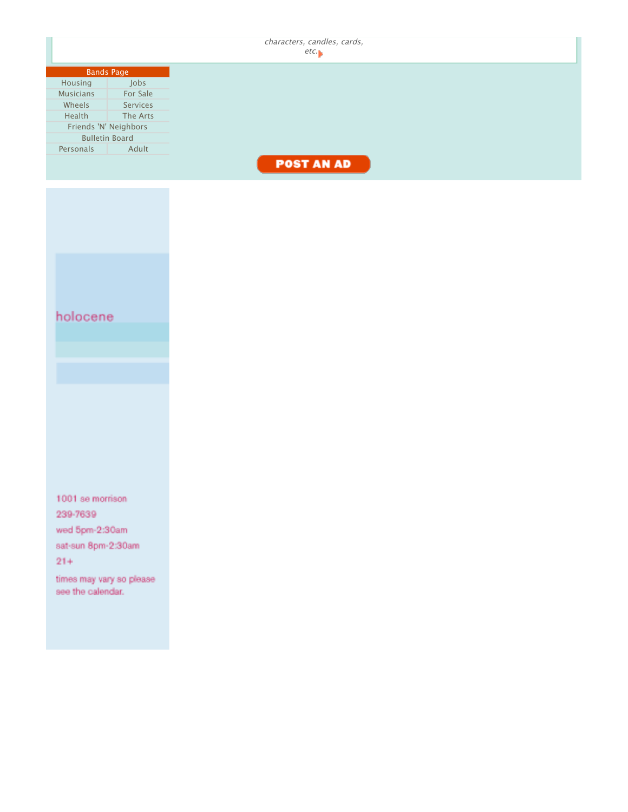|                              | characters, candles, cards,<br>etc. |
|------------------------------|-------------------------------------|
|                              |                                     |
| <b>Bands Page</b>            |                                     |
| Jobs<br>Housing              |                                     |
| <b>Musicians</b><br>For Sale |                                     |
| Wheels<br>Services           |                                     |
| Health<br>The Arts           |                                     |
| Friends 'N' Neighbors        |                                     |
| <b>Bulletin Board</b>        |                                     |
| Adult<br>Personals           |                                     |
|                              |                                     |
|                              | <b>POST AN AD</b>                   |
|                              |                                     |
|                              |                                     |
|                              |                                     |
|                              |                                     |
|                              |                                     |
|                              |                                     |
|                              |                                     |
|                              |                                     |
|                              |                                     |
|                              |                                     |
|                              |                                     |
|                              |                                     |
|                              |                                     |
| holocene                     |                                     |
|                              |                                     |
|                              |                                     |
|                              |                                     |
|                              |                                     |
|                              |                                     |
|                              |                                     |
|                              |                                     |
|                              |                                     |
|                              |                                     |
|                              |                                     |
|                              |                                     |
|                              |                                     |
|                              |                                     |
|                              |                                     |
|                              |                                     |
|                              |                                     |
|                              |                                     |
| 1001 se morrison             |                                     |
| 239-7639                     |                                     |
|                              |                                     |
| wed 5pm-2:30am               |                                     |
| sat-sun 8pm-2:30am           |                                     |
| $21 +$                       |                                     |
|                              |                                     |
| times may vary so please     |                                     |
| see the calendar.            |                                     |
|                              |                                     |
|                              |                                     |
|                              |                                     |
|                              |                                     |
|                              |                                     |
|                              |                                     |
|                              |                                     |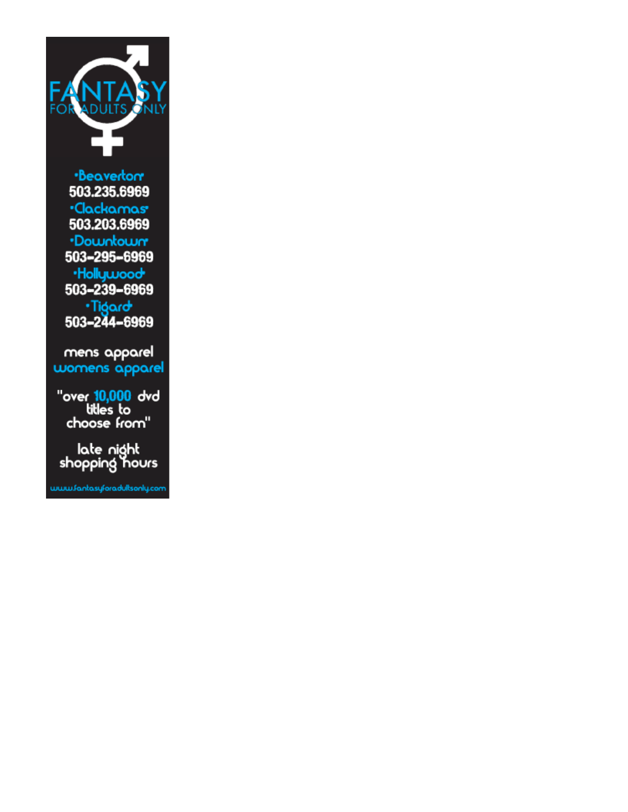

·Beavertor 503.235.6969 ·Clackamas· 503.203.6969 ·Downtown 503-295-6969 ·Hollywood 503-239-6969 Tigard<br>503-244-6969

mens apparel womens apparel

over <mark>10,000</mark> dvd"<br>tilles to<br>choose from"

late night<br>shopping hours

www.fankasyforadultsonly.com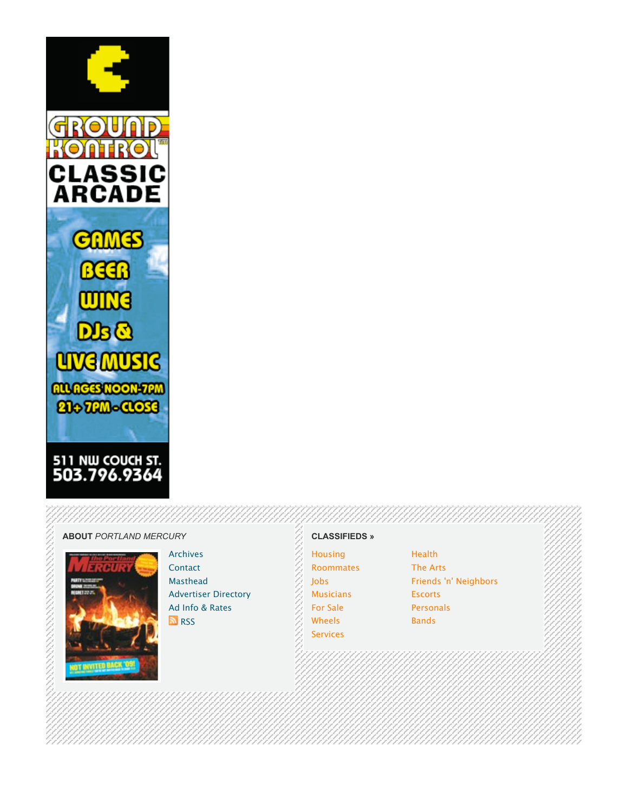

#### **ABOUT** *PORTLAND MERCURY*



Archives **Contact** Masthead Advertiser Directory Ad Info & Rates **N**<sub>RSS</sub>

#### **CLASSIFIEDS »**

**Housing** Roommates Jobs **Musicians** For Sale Wheels Services

**Health** The Arts Friends 'n' Neighbors Escorts Personals Bands